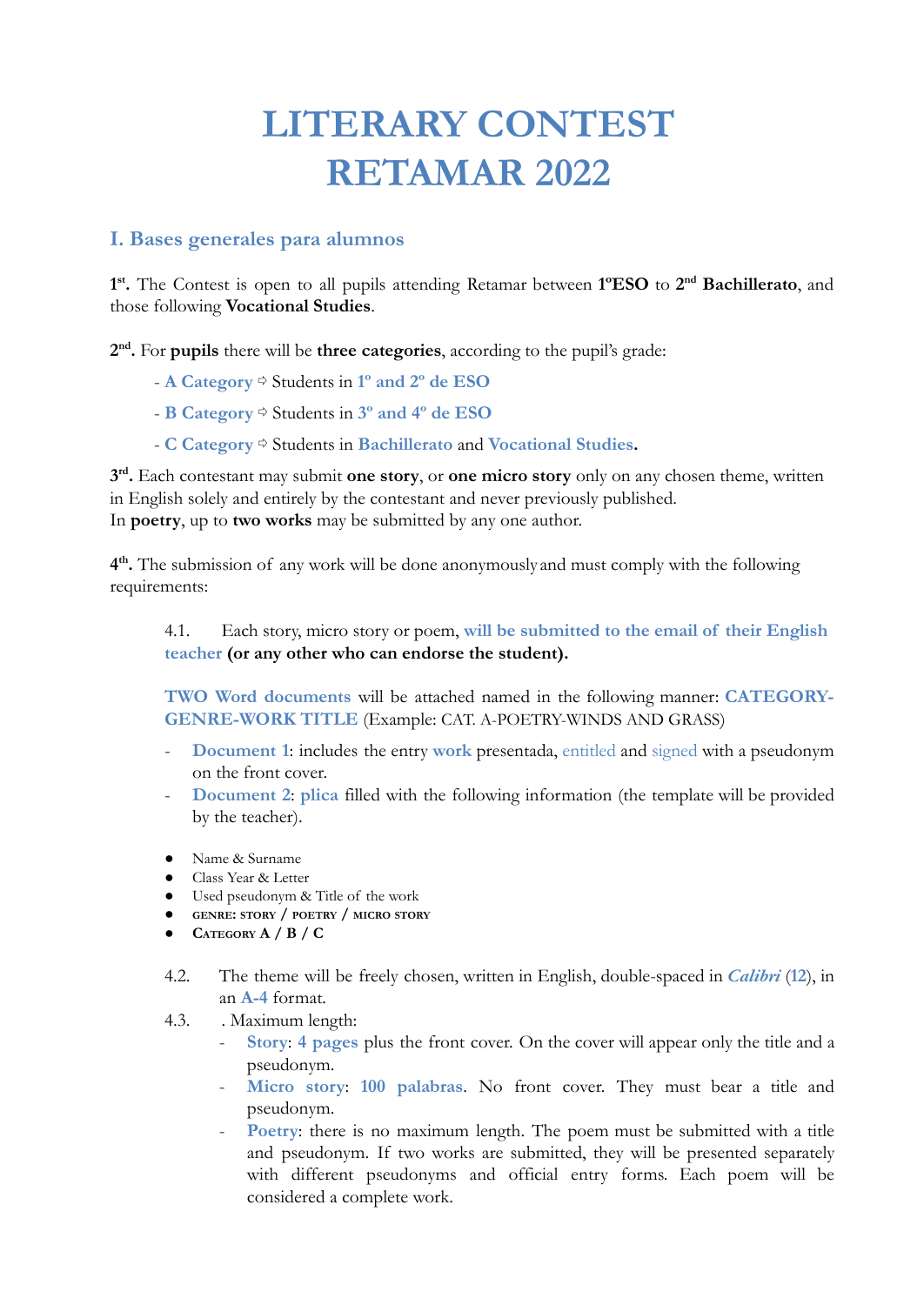## **LITERARY CONTEST RETAMAR 2022**

## **I. Bases generales para alumnos**

**1 st .** The Contest is open to all pupils attending Retamar between **1ºESO** to **2 nd Bachillerato**, and those following **Vocational Studies**.

**2 nd .** For **pupils** there will be **three categories**, according to the pupil's grade:

- **A Category** ⇨ Students in **1º and 2º de ESO**
- **B Category** ⇨ Students in **3º and 4º de ESO**
- **C Category** ⇨ Students in **Bachillerato** and **Vocational Studies.**

**3 rd .** Each contestant may submit **one story**, or **one micro story** only on any chosen theme, written in English solely and entirely by the contestant and never previously published. In **poetry**, up to **two works** may be submitted by any one author.

**4 th .** The submission of any work will be done anonymously and must comply with the following requirements:

## 4.1. Each story, micro story or poem, **will be submitted to the email of their English teacher (or any other who can endorse the student).**

**TWO Word documents** will be attached named in the following manner: **CATEGORY-GENRE-WORK TITLE** (Example: CAT. A-POETRY-WINDS AND GRASS)

- Document 1: includes the entry **work** presentada, entitled and signed with a pseudonym on the front cover.
- **Document 2**: **plica** filled with the following information (the template will be provided by the teacher).
- Name & Surname
- Class Year & Letter
- Used pseudonym & Title of the work
- **● GENRE: STORY / POETRY / MICRO STORY**
- **CATEGORY A / B / C**
- 4.2. The theme will be freely chosen, written in English, double-spaced in *Calibri* (**12**), in an **A-4** format.
- 4.3. . Maximum length:
	- **Story**: **4 pages** plus the front cover. On the cover will appear only the title and a pseudonym.
	- **Micro story**: **100 palabras**. No front cover. They must bear a title and pseudonym.
	- Poetry: there is no maximum length. The poem must be submitted with a title and pseudonym. If two works are submitted, they will be presented separately with different pseudonyms and official entry forms. Each poem will be considered a complete work.